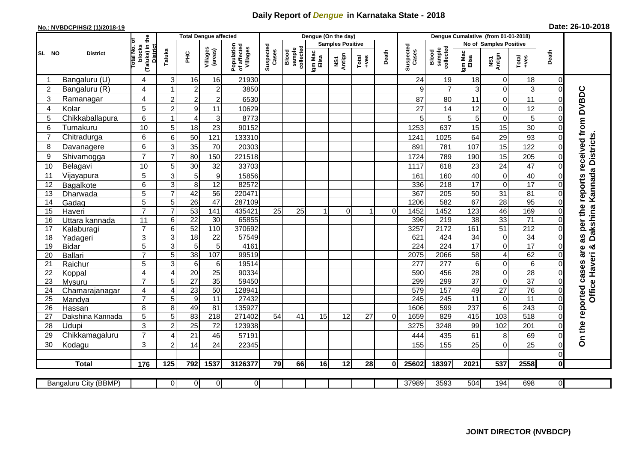## **Daily Report of** *Dengue* **in Karnataka State - 2018**

## **No.: NVBDCP/HS/2 (1)/2018-19 Date: 26-10-2018**

|                 | <b>District</b>                 |                                       | <b>Total Dengue affected</b>     |                             |                     |                                       |                    |                              |                         | Dengue (On the day)               |               |             |                         |                              |                                   |                            |                      |                |                               |
|-----------------|---------------------------------|---------------------------------------|----------------------------------|-----------------------------|---------------------|---------------------------------------|--------------------|------------------------------|-------------------------|-----------------------------------|---------------|-------------|-------------------------|------------------------------|-----------------------------------|----------------------------|----------------------|----------------|-------------------------------|
|                 |                                 |                                       |                                  |                             |                     |                                       |                    |                              | <b>Samples Positive</b> |                                   |               |             |                         |                              | No of Samples Positive            |                            |                      |                |                               |
| SL NO           |                                 | (Taluks) in the<br>otal No.<br>blocks | Taluks                           | PНC                         | Villages<br>(areas) | Population<br>of affected<br>Villages | Suspected<br>Cases | Blood<br>sample<br>collected | Igm Mac<br>Elisa        | Antign<br>$\overline{\mathbf{s}}$ | Total<br>+ves | Death       | Suspected<br>Cases      | Blood<br>sample<br>collected | Igm Mac<br>Elisa                  | NS1<br>Antign              | Total<br>$+ve$ s     | Death          |                               |
|                 | Bangaluru (U)                   | 4                                     | 3                                | 16                          | 16                  | 21930                                 |                    |                              |                         |                                   |               |             | 24                      | 19                           | 18                                | $\mathbf 0$                | 18                   | $\mathbf 0$    |                               |
| $\overline{2}$  | Bangaluru (R)                   | $\overline{4}$                        | 1                                | $\boldsymbol{2}$            | $\overline{2}$      | 3850                                  |                    |                              |                         |                                   |               |             | 9                       | $\overline{7}$               | 3                                 | $\mathbf 0$                | 3                    | $\mathbf 0$    |                               |
| 3               | Ramanagar                       | $\overline{4}$                        | $\overline{2}$                   | $\overline{a}$              | $\boldsymbol{2}$    | 6530                                  |                    |                              |                         |                                   |               |             | 87                      | 80                           | 11                                | $\mathbf 0$                | 11                   | $\Omega$       | received from DVBDC           |
| 4               | Kolar                           | 5                                     | $\overline{c}$                   | $\boldsymbol{9}$            | 11                  | 10629                                 |                    |                              |                         |                                   |               |             | 27                      | 14                           | 12                                | $\Omega$                   | 12                   | $\Omega$       |                               |
| 5               | Chikkaballapura                 | 6                                     | 1                                | 4                           | 3                   | 8773                                  |                    |                              |                         |                                   |               |             | 5                       | 5                            | 5                                 | $\mathbf 0$                | 5                    | $\Omega$       |                               |
| 6               | Tumakuru                        | 10                                    | 5                                | 18                          | 23                  | 90152                                 |                    |                              |                         |                                   |               |             | 1253                    | 637                          | 15                                | 15                         | 30                   | $\Omega$       |                               |
| 7               | Chitradurga                     | 6                                     | 6                                | 50                          | 121                 | 133310                                |                    |                              |                         |                                   |               |             | 1241                    | 1025                         | 64                                | 29                         | 93                   | 0              |                               |
| 8               | Davanagere                      | 6                                     | 3                                | 35                          | 70                  | 20303                                 |                    |                              |                         |                                   |               |             | 891                     | 781                          | 107                               | 15                         | 122                  | $\Omega$       |                               |
| 9               | Shivamogga                      | $\overline{7}$                        | $\overline{7}$                   | 80                          | 150                 | 221518                                |                    |                              |                         |                                   |               |             | 1724                    | 789                          | 190                               | 15                         | 205                  | $\Omega$       |                               |
| 10              | Belagavi                        | 10                                    | 5                                | 30                          | 32                  | 33703                                 |                    |                              |                         |                                   |               |             | 1117                    | 618                          | 23                                | 24                         | 47                   | $\Omega$       | Kannada Districts             |
| 11              | Vijayapura                      | 5                                     | 3                                | $\overline{5}$              | $\boldsymbol{9}$    | 15856                                 |                    |                              |                         |                                   |               |             | 161                     | 160                          | 40                                | $\mathsf{O}\xspace$        | 40                   | $\Omega$       |                               |
| 12              | Bagalkote                       | $6\phantom{1}$                        | 3                                | $\overline{8}$              | 12                  | 82572                                 |                    |                              |                         |                                   |               |             | 336                     | 218                          | 17                                | $\mathbf 0$                | 17                   | $\Omega$       | reports                       |
| 13              | Dharwada                        | 5                                     | $\overline{7}$                   | 42                          | $\overline{56}$     | 220471                                |                    |                              |                         |                                   |               |             | 367                     | 205                          | 50                                | 31                         | $\overline{81}$      | 0              |                               |
| 14              | Gadag                           | $\overline{5}$                        | $\overline{5}$                   | 26                          | $\overline{47}$     | 287109                                |                    |                              |                         |                                   |               |             | 1206                    | 582                          | 67                                | 28                         | 95                   | 0              |                               |
| 15              | Haveri                          | $\overline{7}$                        | $\overline{7}$                   | 53                          | 141                 | 435421                                | 25                 | 25                           | -1                      | $\Omega$                          | 1             | $\Omega$    | 1452                    | 1452                         | 123                               | 46                         | 169                  | $\Omega$       | as per the<br><b>Dakshina</b> |
| 16              | Uttara kannada                  | 11                                    | 6                                | $\overline{22}$             | 30                  | 65855                                 |                    |                              |                         |                                   |               |             | 396                     | 219                          | $\overline{38}$                   | 33                         | $\overline{71}$      | $\Omega$       |                               |
| 17              | Kalaburagi                      | $\overline{7}$                        | 6                                | 52                          | $\frac{110}{110}$   | 370692                                |                    |                              |                         |                                   |               |             | 3257                    | 2172                         | 161                               | 51                         | $\overline{212}$     |                |                               |
| 18              | Yadageri                        | 3                                     | $\overline{3}$                   | $\overline{18}$             | 22                  | 57549                                 |                    |                              |                         |                                   |               |             | 621                     | 424                          | $\overline{34}$                   | $\mathbf 0$                | $\overline{34}$      | $\Omega$       |                               |
| 19              | <b>Bidar</b>                    | 5                                     | $\overline{3}$                   | $\overline{5}$              | $\overline{5}$      | 4161                                  |                    |                              |                         |                                   |               |             | 224                     | 224                          | 17                                | $\mathbf 0$                | 17                   |                | ×                             |
| 20              | Ballari                         | $\overline{7}$                        | 5                                | 38                          | 107                 | 99519                                 |                    |                              |                         |                                   |               |             | 2075                    | 2066                         | 58                                | $\overline{4}$             | 62                   | $\Omega$       |                               |
| 21              | Raichur                         | 5<br>$\overline{4}$                   | $\overline{3}$<br>$\overline{A}$ | $\sigma$<br>$\overline{20}$ | 6<br>25             | 19514<br>90334                        |                    |                              |                         |                                   |               |             | $\overline{277}$<br>590 | $\overline{277}$<br>456      | $6\phantom{1}$<br>$\overline{28}$ | $\mathbf 0$<br>$\mathbf 0$ | 6<br>$\overline{28}$ | $\Omega$       |                               |
| 22<br>23        | Koppal                          | $\overline{7}$                        | 5                                | $\overline{27}$             | $\overline{35}$     | 59450                                 |                    |                              |                         |                                   |               |             | 299                     | 299                          | 37                                | $\mathbf 0$                | $\overline{37}$      | $\Omega$       |                               |
| 24              | <b>Mysuru</b><br>Chamarajanagar | 4                                     | 4                                | 23                          | $\overline{50}$     | 128941                                |                    |                              |                         |                                   |               |             | 579                     | 157                          | 49                                | $\overline{27}$            | $\overline{76}$      | $\Omega$       |                               |
| $\overline{25}$ | Mandya                          | $\overline{7}$                        | 5                                | $\overline{9}$              | $\overline{11}$     | 27432                                 |                    |                              |                         |                                   |               |             | 245                     | $\overline{245}$             | 11                                | $\pmb{0}$                  | $\overline{11}$      | $\Omega$       | Office Haveri                 |
| 26              | Hassan                          | 8                                     | 8                                | 49                          | 81                  | 135927                                |                    |                              |                         |                                   |               |             | 1606                    | 599                          | 237                               | $\sigma$                   | 243                  | $\overline{0}$ |                               |
| 27              | Dakshina Kannada                | 5                                     | 5                                | 83                          | $\overline{218}$    | 271402                                | 54                 | 41                           | 15                      | 12                                | 27            | $\mathbf 0$ | 1659                    | 829                          | 415                               | 103                        | 518                  | $\Omega$       |                               |
| 28              | Udupi                           | 3                                     | $\overline{c}$                   | 25                          | 72                  | 123938                                |                    |                              |                         |                                   |               |             | 3275                    | 3248                         | 99                                | 102                        | 201                  | $\Omega$       |                               |
| 29              | Chikkamagaluru                  | $\overline{7}$                        | 4                                | 21                          | 46                  | 57191                                 |                    |                              |                         |                                   |               |             | 444                     | 435                          | 61                                | 8                          | 69                   | 0              | On the reported cases are     |
| 30              | Kodagu                          | 3                                     | $\overline{2}$                   | 14                          | 24                  | 22345                                 |                    |                              |                         |                                   |               |             | 155                     | 155                          | 25                                | $\mathbf 0$                | 25                   | 0              |                               |
|                 |                                 |                                       |                                  |                             |                     |                                       |                    |                              |                         |                                   |               |             |                         |                              |                                   |                            |                      | 0              |                               |
|                 | <b>Total</b>                    | 176                                   | 125                              | 792                         | 1537                | 3126377                               | 79                 | 66                           | 16                      | 12                                | 28            | $\bf{0}$    | 25602                   | 18397                        | 2021                              | 537                        | 2558                 | $\bf{0}$       |                               |
|                 | Bangaluru City (BBMP)           |                                       | $\overline{0}$                   | $\overline{0}$              | $\overline{0}$      | $\overline{0}$                        |                    |                              |                         |                                   |               |             | 37989                   | 3593                         | 504                               | 194                        | 698                  | $\overline{0}$ |                               |